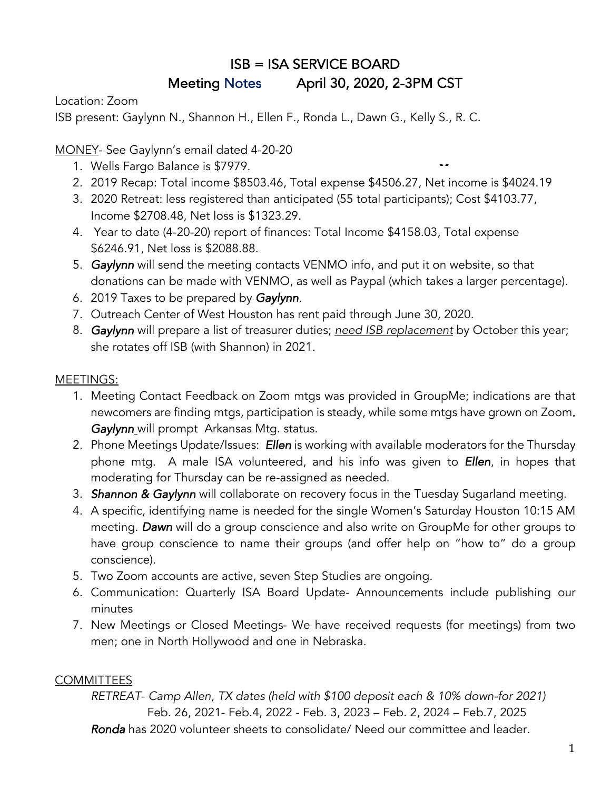# ISB = ISA SERVICE BOARD Meeting Notes April 30, 2020, 2-3PM CST

Location: Zoom

ISB present: Gaylynn N., Shannon H., Ellen F., Ronda L., Dawn G., Kelly S., R. C.

MONEY- See Gaylynn's email dated 4-20-20

- 1. Wells Fargo Balance is \$7979.
- 2. 2019 Recap: Total income \$8503.46, Total expense \$4506.27, Net income is \$4024.19 **E**

**M**

- 3. 2020 Retreat: less registered than anticipated (55 total participants); Cost \$4103.77, **E** Income \$2708.48, Net loss is \$1323.29.
- 4. Year to date (4-20-20) report of finances: Total Income \$4158.03, Total expense \$6246.91, Net loss is \$2088.88. **N**
- 5. *Gaylynn* will send the meeting contacts VENMO info, and put it on website, so that **C** donations can be made with VENMO, as well as Paypal (which takes a larger percentage). **O**
- 6. 2019 Taxes to be prepared by *Gaylynn*.
- 7. Outreach Center of West Houston has rent paid through June 30, 2020. **T**
- 8. *Gaylynn* will prepare a list of treasurer duties; *need ISB replacement* by October this year; she rotates off ISB (with Shannon) in 2021.  $\frac{1}{2}$ **C**

#### MEETINGS:

- 1. Meeting Contact Feedback on Zoom mtgs was provided in GroupMe; indications are that newcomers are finding mtgs, participation is steady, while some mtgs have grown on Zoom*. Gaylynn* will prompt Arkansas Mtg. status.
- 2. Phone Meetings Update/Issues: *Ellen* is working with available moderators for the Thursday phone mtg. A male ISA volunteered, and his info was given to *Ellen*, in hopes that moderating for Thursday can be re-assigned as needed.
- 3. *Shannon & Gaylynn* will collaborate on recovery focus in the Tuesday Sugarland meeting.
- 4. A specific, identifying name is needed for the single Women's Saturday Houston 10:15 AM meeting. *Dawn* will do a group conscience and also write on GroupMe for other groups to have group conscience to name their groups (and offer help on "how to" do a group conscience).
- 5. Two Zoom accounts are active, seven Step Studies are ongoing.
- 6. Communication: Quarterly ISA Board Update- Announcements include publishing our minutes
- 7. New Meetings or Closed Meetings- We have received requests (for meetings) from two men; one in North Hollywood and one in Nebraska.

#### **COMMITTEES**

*RETREAT*- *Camp Allen, TX dates (held with \$100 deposit each & 10% down-for 2021)*  Feb. 26, 2021- Feb.4, 2022 - Feb. 3, 2023 – Feb. 2, 2024 – Feb.7, 2025 *Ronda* has 2020 volunteer sheets to consolidate/ Need our committee and leader.